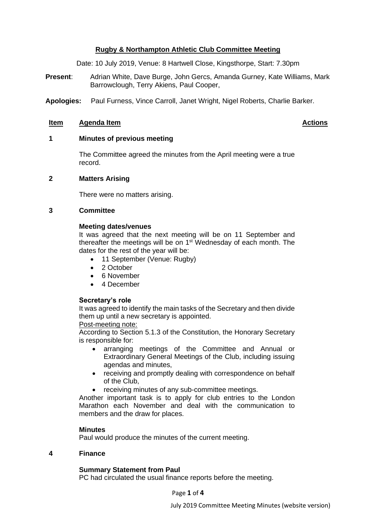## **Rugby & Northampton Athletic Club Committee Meeting**

Date: 10 July 2019, Venue: 8 Hartwell Close, Kingsthorpe, Start: 7.30pm

- **Present**: Adrian White, Dave Burge, John Gercs, Amanda Gurney, Kate Williams, Mark Barrowclough, Terry Akiens, Paul Cooper,
- **Apologies:** Paul Furness, Vince Carroll, Janet Wright, Nigel Roberts, Charlie Barker.

#### **Item Agenda Item Actions**

#### **1 Minutes of previous meeting**

The Committee agreed the minutes from the April meeting were a true record.

#### **2 Matters Arising**

There were no matters arising.

## **3 Committee**

#### **Meeting dates/venues**

It was agreed that the next meeting will be on 11 September and thereafter the meetings will be on 1<sup>st</sup> Wednesday of each month. The dates for the rest of the year will be:

- 11 September (Venue: Rugby)
- 2 October
- 6 November
- 4 December

#### **Secretary's role**

It was agreed to identify the main tasks of the Secretary and then divide them up until a new secretary is appointed.

#### Post-meeting note:

According to Section 5.1.3 of the Constitution, the Honorary Secretary is responsible for:

- arranging meetings of the Committee and Annual or Extraordinary General Meetings of the Club, including issuing agendas and minutes,
- receiving and promptly dealing with correspondence on behalf of the Club,
- receiving minutes of any sub-committee meetings.

Another important task is to apply for club entries to the London Marathon each November and deal with the communication to members and the draw for places.

#### **Minutes**

Paul would produce the minutes of the current meeting.

#### **4 Finance**

#### **Summary Statement from Paul**

PC had circulated the usual finance reports before the meeting.

Page **1** of **4**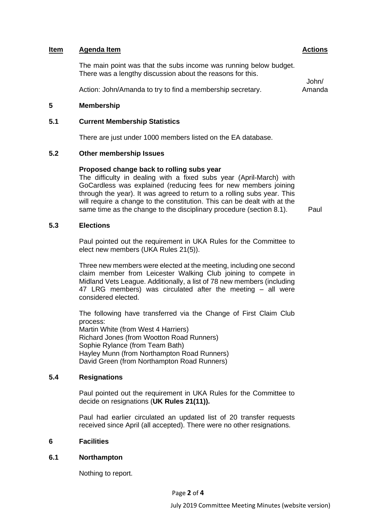### **Item Agenda Item Actions**

The main point was that the subs income was running below budget. There was a lengthy discussion about the reasons for this.

Action: John/Amanda to try to find a membership secretary.

## **5 Membership**

## **5.1 Current Membership Statistics**

There are just under 1000 members listed on the EA database.

## **5.2 Other membership Issues**

## **Proposed change back to rolling subs year**

The difficulty in dealing with a fixed subs year (April-March) with GoCardless was explained (reducing fees for new members joining through the year). It was agreed to return to a rolling subs year. This will require a change to the constitution. This can be dealt with at the same time as the change to the disciplinary procedure (section 8.1). Paul

## **5.3 Elections**

Paul pointed out the requirement in UKA Rules for the Committee to elect new members (UKA Rules 21(5)).

Three new members were elected at the meeting, including one second claim member from Leicester Walking Club joining to compete in Midland Vets League. Additionally, a list of 78 new members (including 47 LRG members) was circulated after the meeting – all were considered elected.

The following have transferred via the Change of First Claim Club process: Martin White (from West 4 Harriers) Richard Jones (from Wootton Road Runners) Sophie Rylance (from Team Bath) Hayley Munn (from Northampton Road Runners) David Green (from Northampton Road Runners)

## **5.4 Resignations**

Paul pointed out the requirement in UKA Rules for the Committee to decide on resignations (**UK Rules 21(11)).**

Paul had earlier circulated an updated list of 20 transfer requests received since April (all accepted). There were no other resignations.

#### **6 Facilities**

## **6.1 Northampton**

Nothing to report.

#### Page **2** of **4**

John/ Amanda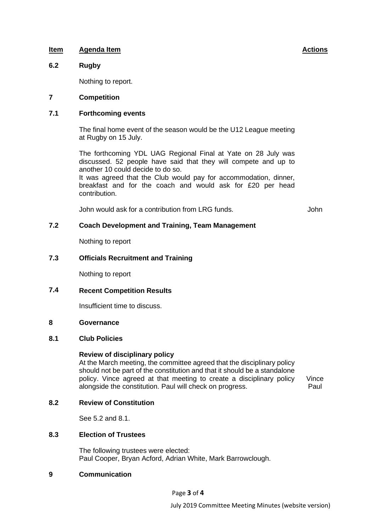## **Item Agenda Item Actions**

## **6.2 Rugby**

Nothing to report.

#### **7 Competition**

## **7.1 Forthcoming events**

The final home event of the season would be the U12 League meeting at Rugby on 15 July.

The forthcoming YDL UAG Regional Final at Yate on 28 July was discussed. 52 people have said that they will compete and up to another 10 could decide to do so.

It was agreed that the Club would pay for accommodation, dinner, breakfast and for the coach and would ask for £20 per head contribution.

John would ask for a contribution from LRG funds. John

## **7.2 Coach Development and Training, Team Management**

Nothing to report

## **7.3 Officials Recruitment and Training**

Nothing to report

## **7.4 Recent Competition Results**

Insufficient time to discuss.

## **8 Governance**

## **8.1 Club Policies**

#### **Review of disciplinary policy**

At the March meeting, the committee agreed that the disciplinary policy should not be part of the constitution and that it should be a standalone policy. Vince agreed at that meeting to create a disciplinary policy alongside the constitution. Paul will check on progress.

Vince Paul

## **8.2 Review of Constitution**

See 5.2 and 8.1.

#### **8.3 Election of Trustees**

The following trustees were elected: Paul Cooper, Bryan Acford, Adrian White, Mark Barrowclough.

## **9 Communication**

Page **3** of **4**